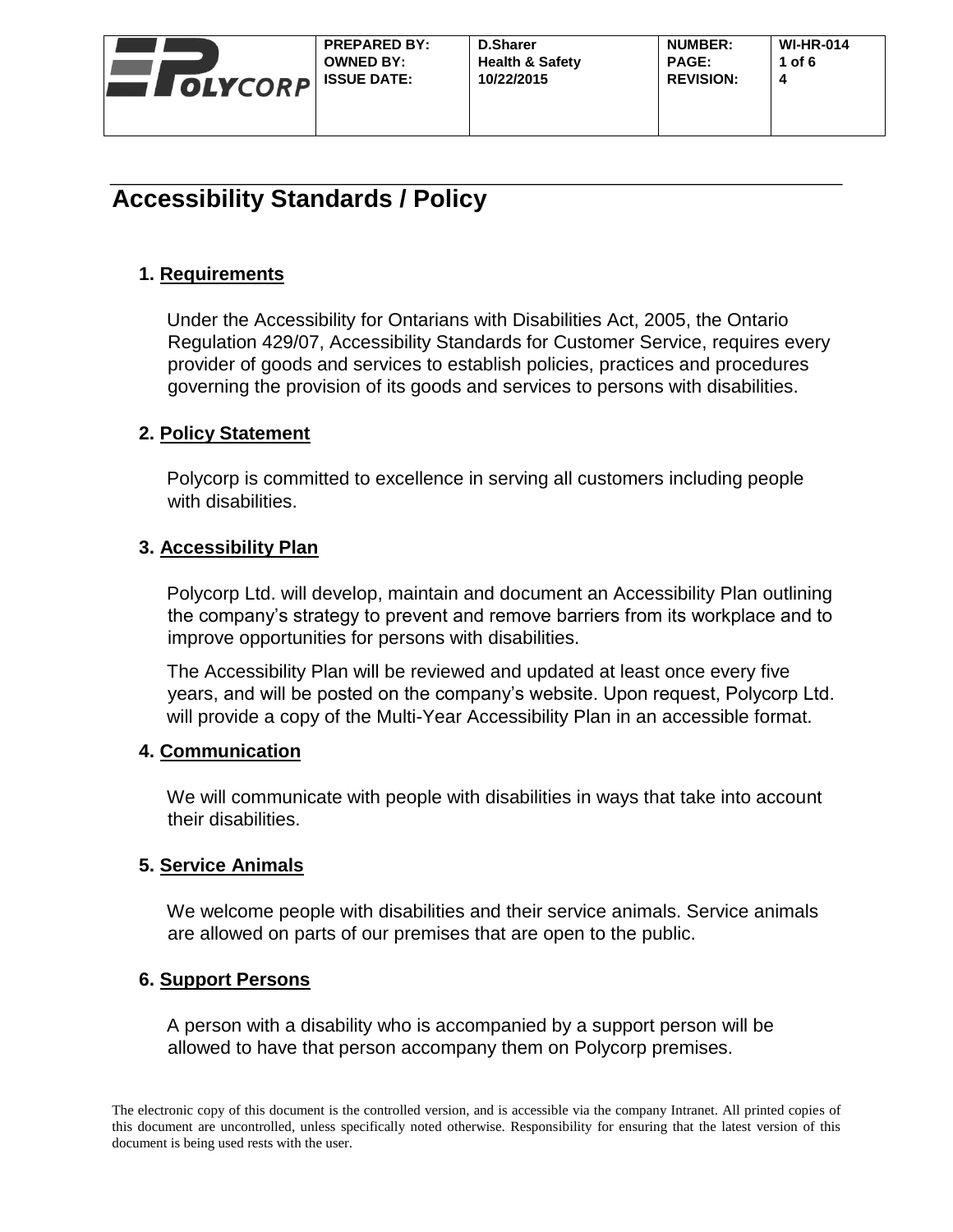

## **1. Requirements**

Under the Accessibility for Ontarians with Disabilities Act, 2005, the Ontario Regulation 429/07, Accessibility Standards for Customer Service, requires every provider of goods and services to establish policies, practices and procedures governing the provision of its goods and services to persons with disabilities.

## **2. Policy Statement**

Polycorp is committed to excellence in serving all customers including people with disabilities.

## **3. Accessibility Plan**

Polycorp Ltd. will develop, maintain and document an Accessibility Plan outlining the company's strategy to prevent and remove barriers from its workplace and to improve opportunities for persons with disabilities.

The Accessibility Plan will be reviewed and updated at least once every five years, and will be posted on the company's website. Upon request, Polycorp Ltd. will provide a copy of the Multi-Year Accessibility Plan in an accessible format.

## **4. Communication**

We will communicate with people with disabilities in ways that take into account their disabilities.

## **5. Service Animals**

We welcome people with disabilities and their service animals. Service animals are allowed on parts of our premises that are open to the public.

## **6. Support Persons**

A person with a disability who is accompanied by a support person will be allowed to have that person accompany them on Polycorp premises.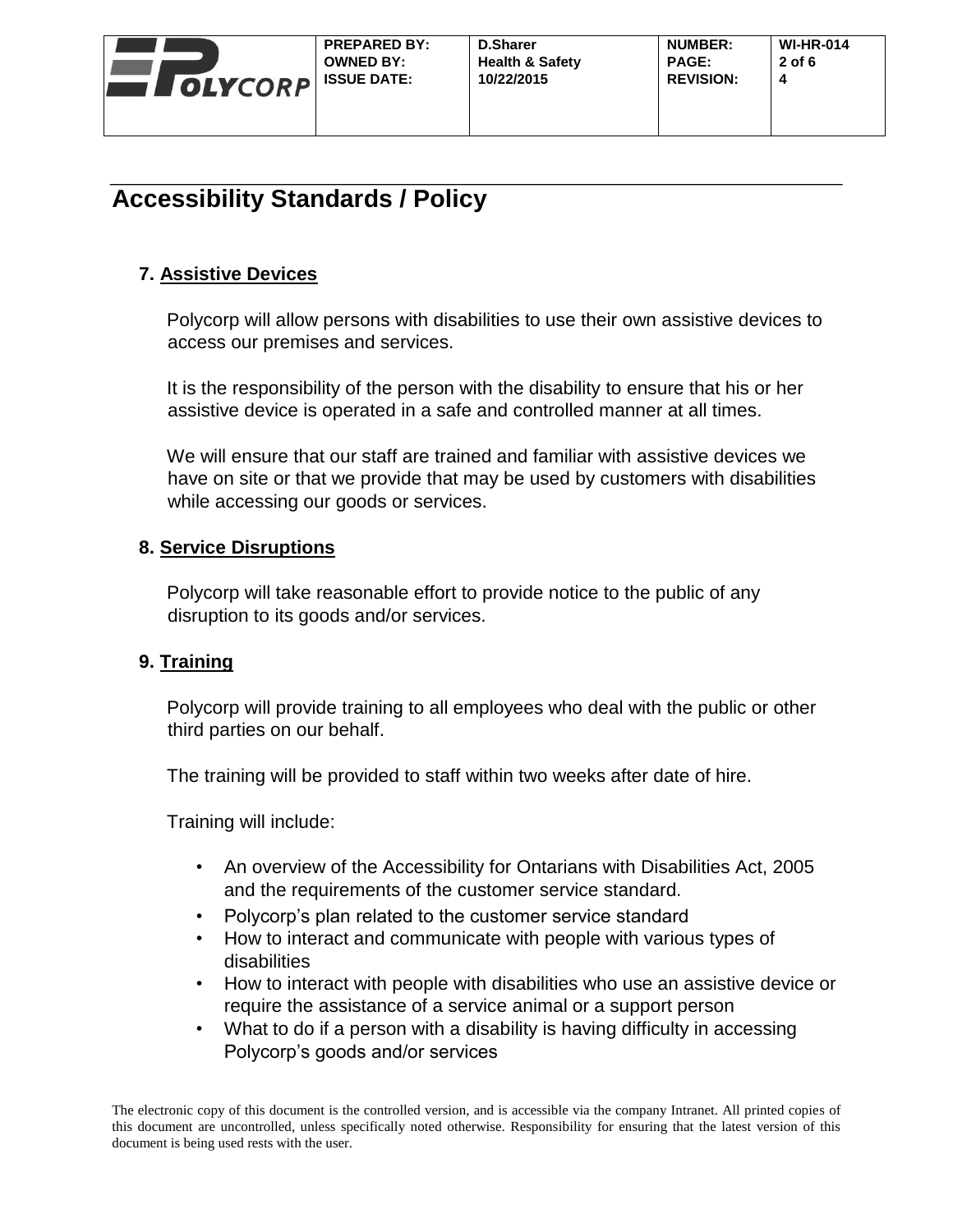

## **7. Assistive Devices**

Polycorp will allow persons with disabilities to use their own assistive devices to access our premises and services.

It is the responsibility of the person with the disability to ensure that his or her assistive device is operated in a safe and controlled manner at all times.

We will ensure that our staff are trained and familiar with assistive devices we have on site or that we provide that may be used by customers with disabilities while accessing our goods or services.

## **8. Service Disruptions**

Polycorp will take reasonable effort to provide notice to the public of any disruption to its goods and/or services.

## **9. Training**

Polycorp will provide training to all employees who deal with the public or other third parties on our behalf.

The training will be provided to staff within two weeks after date of hire.

Training will include:

- An overview of the Accessibility for Ontarians with Disabilities Act, 2005 and the requirements of the customer service standard.
- Polycorp's plan related to the customer service standard
- How to interact and communicate with people with various types of disabilities
- How to interact with people with disabilities who use an assistive device or require the assistance of a service animal or a support person
- What to do if a person with a disability is having difficulty in accessing Polycorp's goods and/or services

The electronic copy of this document is the controlled version, and is accessible via the company Intranet. All printed copies of this document are uncontrolled, unless specifically noted otherwise. Responsibility for ensuring that the latest version of this document is being used rests with the user.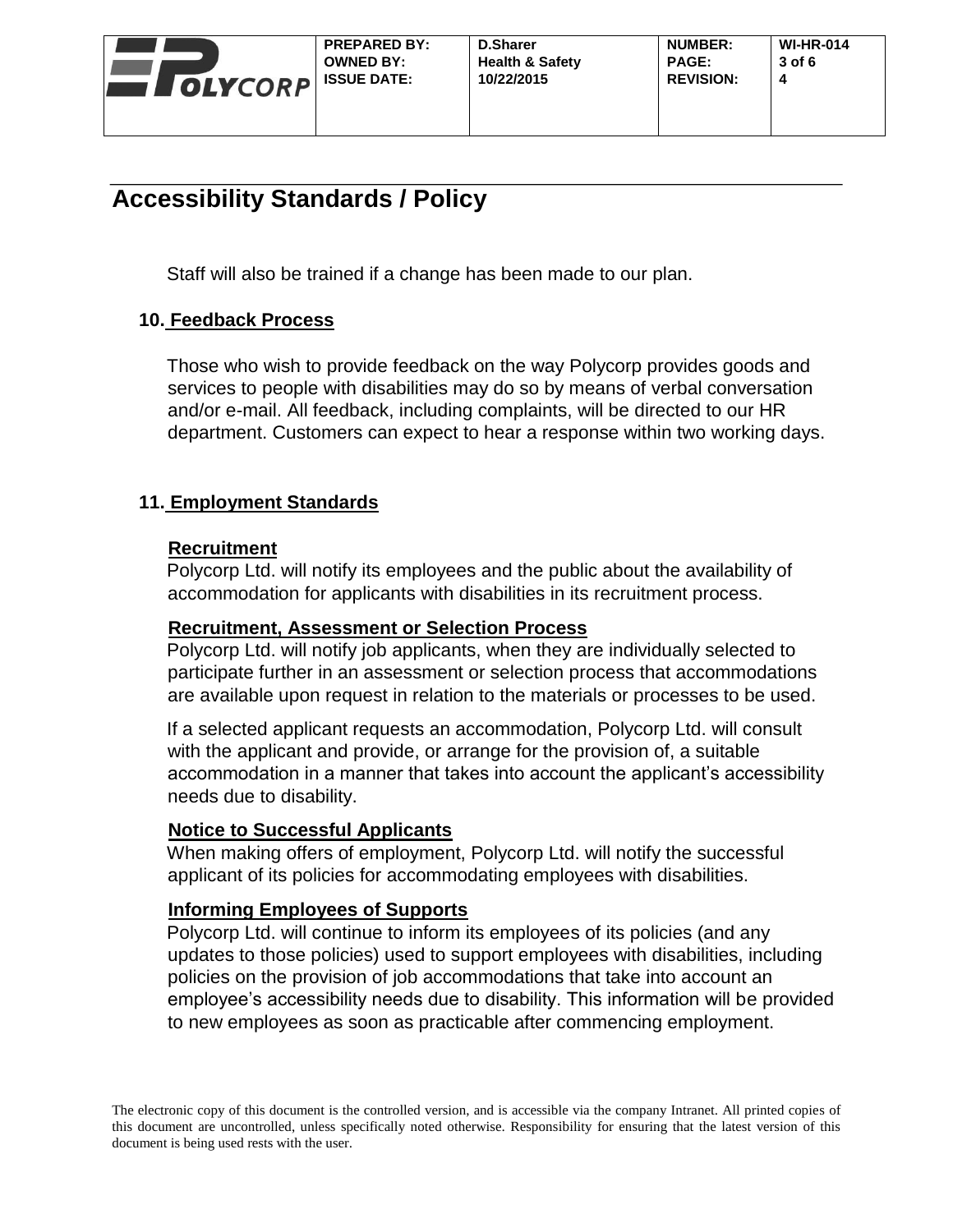

Staff will also be trained if a change has been made to our plan.

#### **10. Feedback Process**

Those who wish to provide feedback on the way Polycorp provides goods and services to people with disabilities may do so by means of verbal conversation and/or e-mail. All feedback, including complaints, will be directed to our HR department. Customers can expect to hear a response within two working days.

#### **11. Employment Standards**

#### **Recruitment**

Polycorp Ltd. will notify its employees and the public about the availability of accommodation for applicants with disabilities in its recruitment process.

#### **Recruitment, Assessment or Selection Process**

Polycorp Ltd. will notify job applicants, when they are individually selected to participate further in an assessment or selection process that accommodations are available upon request in relation to the materials or processes to be used.

If a selected applicant requests an accommodation, Polycorp Ltd. will consult with the applicant and provide, or arrange for the provision of, a suitable accommodation in a manner that takes into account the applicant's accessibility needs due to disability.

#### **Notice to Successful Applicants**

When making offers of employment, Polycorp Ltd. will notify the successful applicant of its policies for accommodating employees with disabilities.

#### **Informing Employees of Supports**

Polycorp Ltd. will continue to inform its employees of its policies (and any updates to those policies) used to support employees with disabilities, including policies on the provision of job accommodations that take into account an employee's accessibility needs due to disability. This information will be provided to new employees as soon as practicable after commencing employment.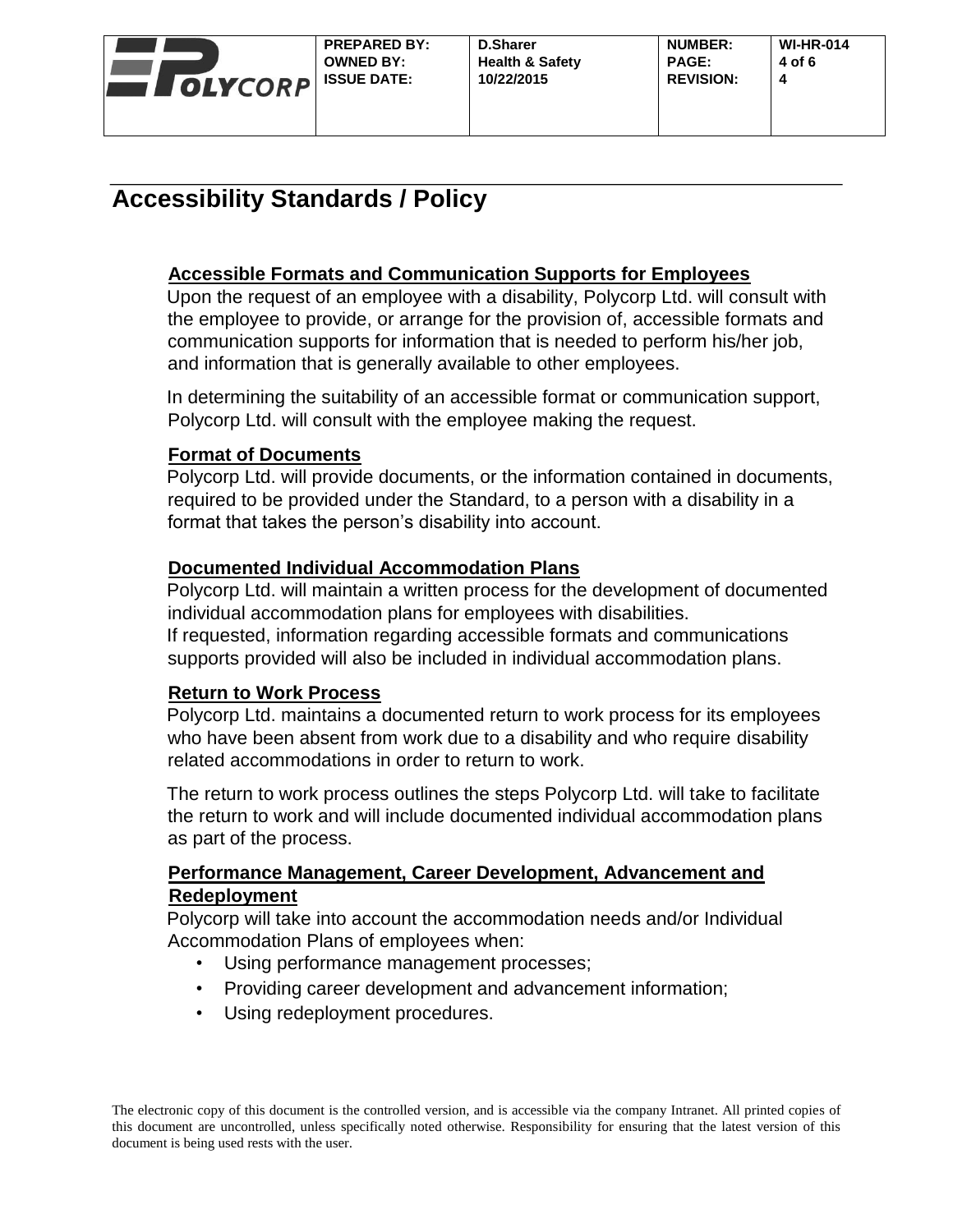

## **Accessible Formats and Communication Supports for Employees**

Upon the request of an employee with a disability, Polycorp Ltd. will consult with the employee to provide, or arrange for the provision of, accessible formats and communication supports for information that is needed to perform his/her job, and information that is generally available to other employees.

In determining the suitability of an accessible format or communication support, Polycorp Ltd. will consult with the employee making the request.

## **Format of Documents**

Polycorp Ltd. will provide documents, or the information contained in documents, required to be provided under the Standard, to a person with a disability in a format that takes the person's disability into account.

## **Documented Individual Accommodation Plans**

Polycorp Ltd. will maintain a written process for the development of documented individual accommodation plans for employees with disabilities. If requested, information regarding accessible formats and communications supports provided will also be included in individual accommodation plans.

## **Return to Work Process**

Polycorp Ltd. maintains a documented return to work process for its employees who have been absent from work due to a disability and who require disability related accommodations in order to return to work.

The return to work process outlines the steps Polycorp Ltd. will take to facilitate the return to work and will include documented individual accommodation plans as part of the process.

#### **Performance Management, Career Development, Advancement and Redeployment**

Polycorp will take into account the accommodation needs and/or Individual Accommodation Plans of employees when:

- Using performance management processes;
- Providing career development and advancement information;
- Using redeployment procedures.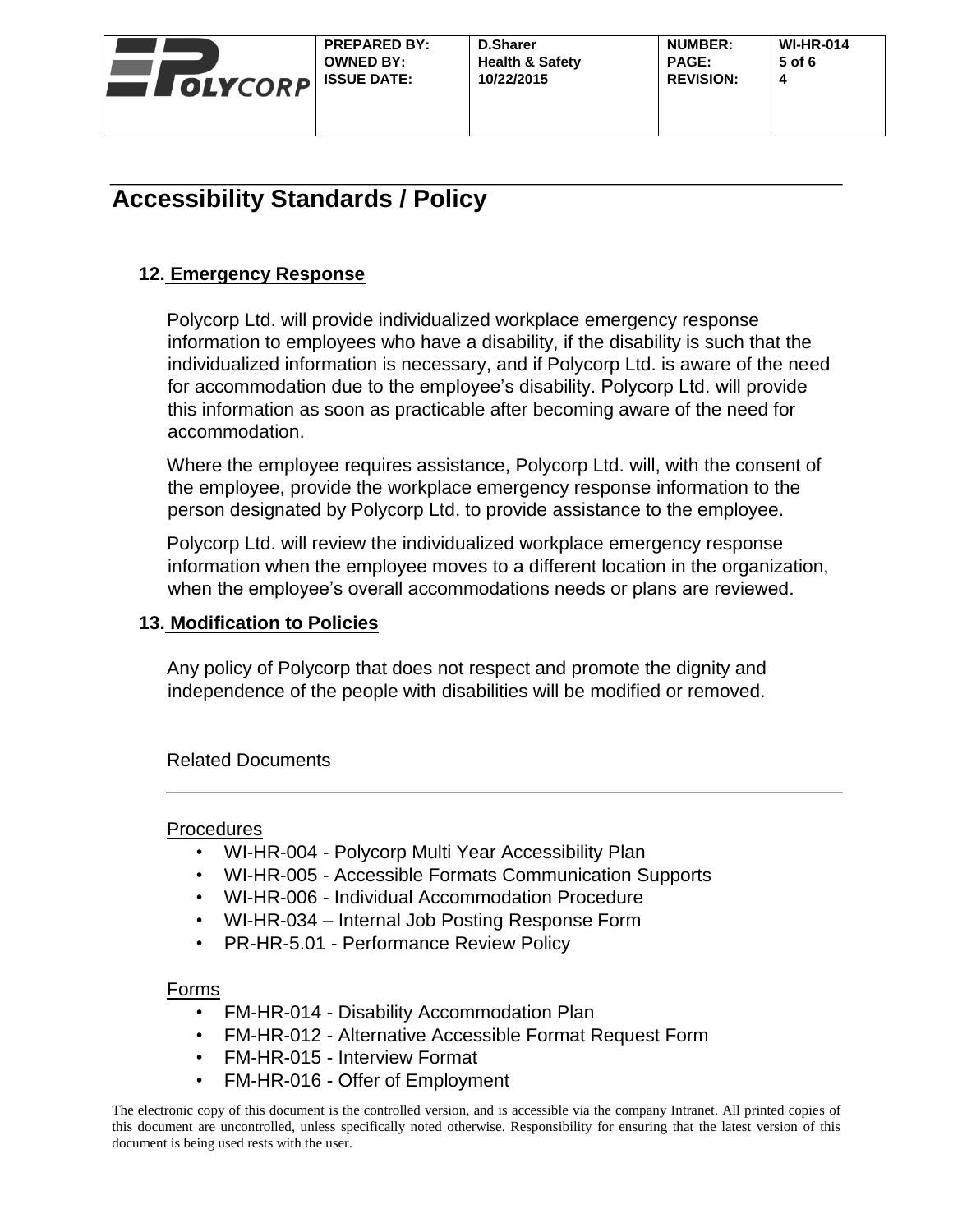

## **12. Emergency Response**

Polycorp Ltd. will provide individualized workplace emergency response information to employees who have a disability, if the disability is such that the individualized information is necessary, and if Polycorp Ltd. is aware of the need for accommodation due to the employee's disability. Polycorp Ltd. will provide this information as soon as practicable after becoming aware of the need for accommodation.

Where the employee requires assistance, Polycorp Ltd. will, with the consent of the employee, provide the workplace emergency response information to the person designated by Polycorp Ltd. to provide assistance to the employee.

Polycorp Ltd. will review the individualized workplace emergency response information when the employee moves to a different location in the organization, when the employee's overall accommodations needs or plans are reviewed.

## **13. Modification to Policies**

Any policy of Polycorp that does not respect and promote the dignity and independence of the people with disabilities will be modified or removed.

## Related Documents

## **Procedures**

- WI-HR-004 Polycorp Multi Year Accessibility Plan
- WI-HR-005 Accessible Formats Communication Supports
- WI-HR-006 Individual Accommodation Procedure
- WI-HR-034 Internal Job Posting Response Form
- PR-HR-5.01 Performance Review Policy

## Forms

- FM-HR-014 Disability Accommodation Plan
- FM-HR-012 Alternative Accessible Format Request Form
- FM-HR-015 Interview Format
- FM-HR-016 Offer of Employment

The electronic copy of this document is the controlled version, and is accessible via the company Intranet. All printed copies of this document are uncontrolled, unless specifically noted otherwise. Responsibility for ensuring that the latest version of this document is being used rests with the user.